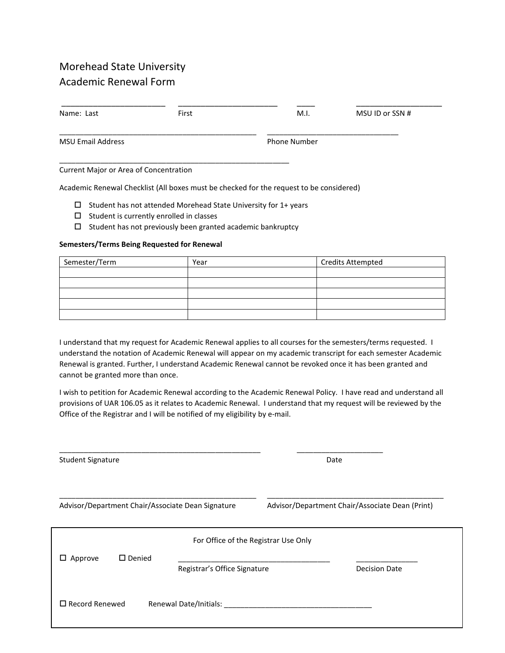# Morehead State University Academic Renewal Form

| Name: Last                             | First | M.I.                | MSU ID or SSN # |  |
|----------------------------------------|-------|---------------------|-----------------|--|
| <b>MSU Email Address</b>               |       | <b>Phone Number</b> |                 |  |
| Current Major or Area of Concentration |       |                     |                 |  |

Academic Renewal Checklist (All boxes must be checked for the request to be considered)

- $\Box$  Student has not attended Morehead State University for 1+ years
- $\square$  Student is currently enrolled in classes
- $\square$  Student has not previously been granted academic bankruptcy

#### **Semesters/Terms Being Requested for Renewal**

| Semester/Term | <b>Credits Attempted</b><br>Year |  |
|---------------|----------------------------------|--|
|               |                                  |  |
|               |                                  |  |
|               |                                  |  |
|               |                                  |  |
|               |                                  |  |

I understand that my request for Academic Renewal applies to all courses for the semesters/terms requested. I understand the notation of Academic Renewal will appear on my academic transcript for each semester Academic Renewal is granted. Further, I understand Academic Renewal cannot be revoked once it has been granted and cannot be granted more than once.

I wish to petition for Academic Renewal according to the Academic Renewal Policy. I have read and understand all provisions of UAR 106.05 as it relates to Academic Renewal. I understand that my request will be reviewed by the Office of the Registrar and I will be notified of my eligibility by e-mail.

\_\_\_\_\_\_\_\_\_\_\_\_\_\_\_\_\_\_\_\_\_\_\_\_\_\_\_\_\_\_\_\_\_\_\_\_\_\_\_\_\_\_\_\_\_\_\_\_\_ \_\_\_\_\_\_\_\_\_\_\_\_\_\_\_\_\_\_\_\_\_

Student Signature Date \_\_\_\_\_\_\_\_\_\_\_\_\_\_\_\_\_\_\_\_\_\_\_\_\_\_\_\_\_\_\_\_\_\_\_\_\_\_\_\_\_\_\_\_\_\_\_\_ \_\_\_\_\_\_\_\_\_\_\_\_\_\_\_\_\_\_\_\_\_\_\_\_\_\_\_\_\_\_\_\_\_\_\_\_\_\_\_\_\_\_\_ Advisor/Department Chair/Associate Dean Signature Advisor/Department Chair/Associate Dean (Print) For Office of the Registrar Use Only  $\Box$  Approve  $\Box$  Denied Registrar's Office Signature **Decision Date** Record Renewed Renewal Date/Initials: \_\_\_\_\_\_\_\_\_\_\_\_\_\_\_\_\_\_\_\_\_\_\_\_\_\_\_\_\_\_\_\_\_\_\_\_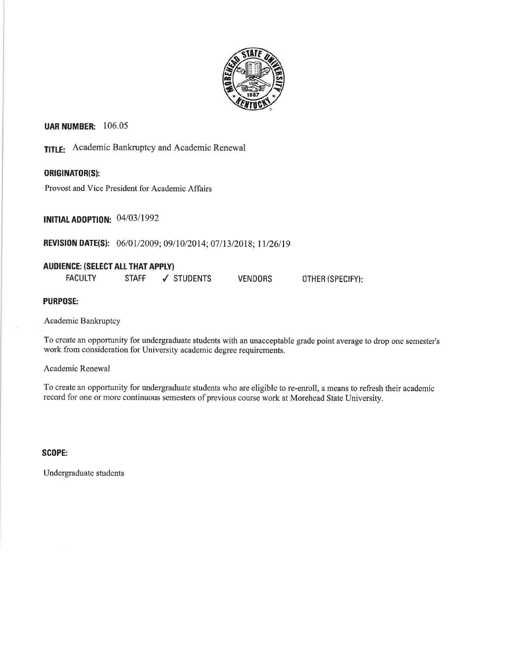

# **UAR NUMBER: 106.05**

**TITLE:** Academic Bankruptcy and Academic Renewal

# **ORIGINATOR(S):**

Provost and Vice President for Academic Affairs

**INITIAL ADOPTION: 04/03/1992** 

**REVISION DATE(S):** 06/01/2009; 09/10/2014; 07/13/2018; 11/26/19

## **AUDIENCE: (SELECT ALL THAT APPLY)**

| <b>FACULTY</b> | STAFF | √ STUDENTS | <b>VENDORS</b> | OTHER (SPECIFY): |
|----------------|-------|------------|----------------|------------------|
|----------------|-------|------------|----------------|------------------|

**PURPOSE:** 

Academic Bankruptcy

To create an opportunity for undergraduate students with an unacceptable grade point average to drop one semester's work from consideration for University academic degree requirements.

Academic Renewal

To create an opportunity for undergraduate students who are eligible to re-enroll, a means to refresh their academic record for one or more continuous semesters of previous course work at Morehead State University.

**SCOPE:** 

Undergraduate students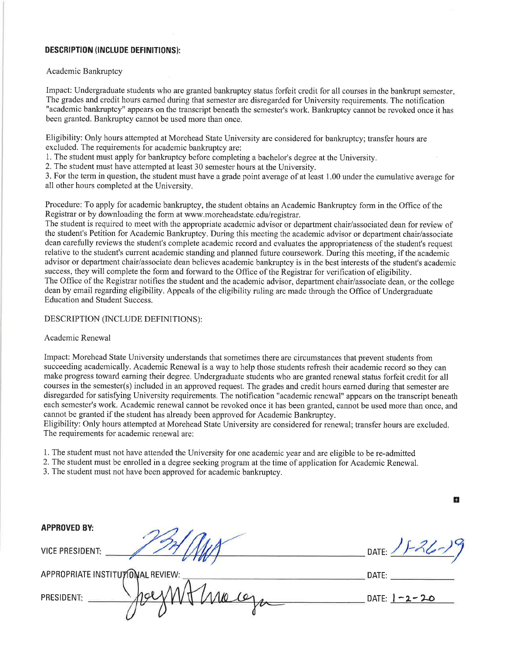## **DESCRIPTION (INCLUDE DEFINITIONS):**

#### Academic Bankruptcy

Impact: Undergraduate students who are granted bankruptcy status forfeit credit for all courses in the bankrupt semester. The grades and credit hours earned during that semester are disregarded for University requirements. The notification "academic bankruptcy" appears on the transcript beneath the semester's work. Bankruptcy cannot be revoked once it has been granted. Bankruptcy cannot be used more than once.

Eligibility: Only hours attempted at Morehead State University are considered for bankruptcy; transfer hours are excluded. The requirements for academic bankruptcy are:

1. The student must apply for bankruptcy before completing a bachelor's degree at the University.

2. The student must have attempted at least 30 semester hours at the University.

3. For the term in question, the student must have a grade point average of at least 1.00 under the cumulative average for all other hours completed at the University.

Procedure: To apply for academic bankruptcy, the student obtains an Academic Bankruptcy form in the Office of the Registrar or by downloading the form at www.moreheadstate.edu/registrar.

The student is required to meet with the appropriate academic advisor or department chair/associated dean for review of the student's Petition for Academic Bankruptcy. During this meeting the academic advisor or department chair/associate dean carefully reviews the student's complete academic record and evaluates the appropriateness of the student's request relative to the student's current academic standing and planned future coursework. During this meeting, if the academic advisor or department chair/associate dean believes academic bankruptcy is in the best interests of the student's academic success, they will complete the form and forward to the Office of the Registrar for verification of eligibility. The Office of the Registrar notifies the student and the academic advisor, department chair/associate dean, or the college dean by email regarding eligibility. Appeals of the eligibility ruling are made through the Office of Undergraduate **Education and Student Success.** 

#### DESCRIPTION (INCLUDE DEFINITIONS):

#### Academic Renewal

Impact: Morehead State University understands that sometimes there are circumstances that prevent students from succeeding academically. Academic Renewal is a way to help those students refresh their academic record so they can make progress toward earning their degree. Undergraduate students who are granted renewal status forfeit credit for all courses in the semester(s) included in an approved request. The grades and credit hours earned during that semester are disregarded for satisfying University requirements. The notification "academic renewal" appears on the transcript beneath each semester's work. Academic renewal cannot be revoked once it has been granted, cannot be used more than once, and cannot be granted if the student has already been approved for Academic Bankruptcy.

Eligibility: Only hours attempted at Morehead State University are considered for renewal; transfer hours are excluded. The requirements for academic renewal are:

- 1. The student must not have attended the University for one academic year and are eligible to be re-admitted
- 2. The student must be enrolled in a degree seeking program at the time of application for Academic Renewal.

3. The student must not have been approved for academic bankruptcy.

#### **APPROVED BY:**

**VICE PRESIDENT:** 

APPROPRIATE INSTITUTIONAL REVIEW:

PRESIDENT:

DATE:

o

DATE:

DATE:  $1 - 2 - 20$